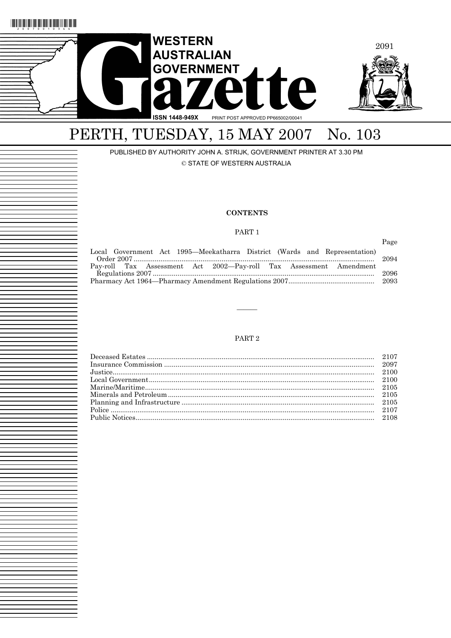

# PERTH, TUESDAY, 15 MAY 2007 No. 103

PUBLISHED BY AUTHORITY JOHN A. STRIJK, GOVERNMENT PRINTER AT 3.30 PM © STATE OF WESTERN AUSTRALIA

### **CONTENTS**

### PART 1

Page

| Local Government Act 1995—Meekatharra District (Wards and Representation) |       |
|---------------------------------------------------------------------------|-------|
|                                                                           |       |
| Pay-roll Tax Assessment Act 2002—Pay-roll Tax Assessment Amendment        |       |
|                                                                           | -2096 |
|                                                                           |       |

### PART<sub>2</sub>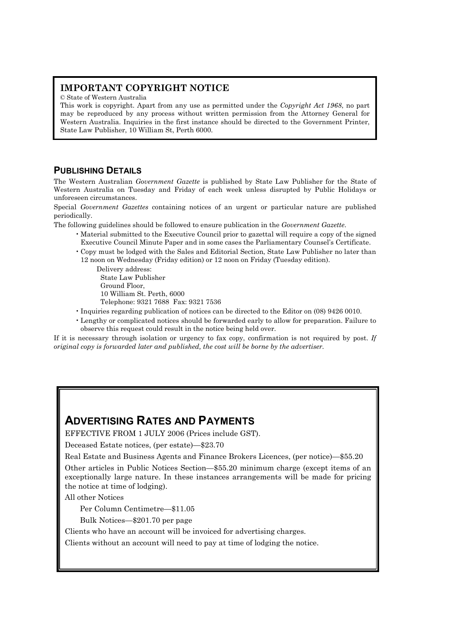# **IMPORTANT COPYRIGHT NOTICE**

© State of Western Australia

This work is copyright. Apart from any use as permitted under the *Copyright Act 1968*, no part may be reproduced by any process without written permission from the Attorney General for Western Australia. Inquiries in the first instance should be directed to the Government Printer, State Law Publisher, 10 William St, Perth 6000.

### **PUBLISHING DETAILS**

The Western Australian *Government Gazette* is published by State Law Publisher for the State of Western Australia on Tuesday and Friday of each week unless disrupted by Public Holidays or unforeseen circumstances.

Special *Government Gazettes* containing notices of an urgent or particular nature are published periodically.

The following guidelines should be followed to ensure publication in the *Government Gazette*.

- Material submitted to the Executive Council prior to gazettal will require a copy of the signed Executive Council Minute Paper and in some cases the Parliamentary Counsel's Certificate.
- Copy must be lodged with the Sales and Editorial Section, State Law Publisher no later than 12 noon on Wednesday (Friday edition) or 12 noon on Friday (Tuesday edition).

Delivery address: State Law Publisher Ground Floor, 10 William St. Perth, 6000 Telephone: 9321 7688 Fax: 9321 7536

- Inquiries regarding publication of notices can be directed to the Editor on (08) 9426 0010.
- Lengthy or complicated notices should be forwarded early to allow for preparation. Failure to observe this request could result in the notice being held over.

If it is necessary through isolation or urgency to fax copy, confirmation is not required by post. *If original copy is forwarded later and published, the cost will be borne by the advertiser.* 

# **ADVERTISING RATES AND PAYMENTS**

EFFECTIVE FROM 1 JULY 2006 (Prices include GST).

Deceased Estate notices, (per estate)—\$23.70

Real Estate and Business Agents and Finance Brokers Licences, (per notice)—\$55.20

Other articles in Public Notices Section—\$55.20 minimum charge (except items of an exceptionally large nature. In these instances arrangements will be made for pricing the notice at time of lodging).

All other Notices

Per Column Centimetre—\$11.05

Bulk Notices—\$201.70 per page

Clients who have an account will be invoiced for advertising charges.

Clients without an account will need to pay at time of lodging the notice.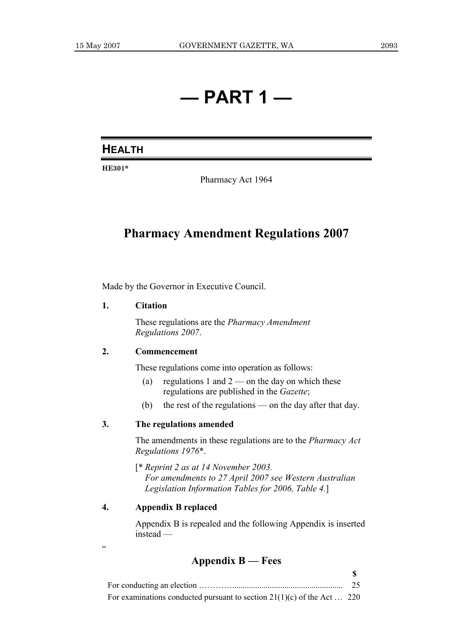# **— PART 1 —**

# **HEALTH**

**HE301\*** 

Pharmacy Act 1964

# **Pharmacy Amendment Regulations 2007**

Made by the Governor in Executive Council.

### **1. Citation**

 These regulations are the *Pharmacy Amendment Regulations 2007*.

### **2. Commencement**

These regulations come into operation as follows:

- (a) regulations 1 and  $2$  on the day on which these regulations are published in the *Gazette*;
- (b) the rest of the regulations on the day after that day.

### **3. The regulations amended**

 The amendments in these regulations are to the *Pharmacy Act Regulations 1976*\*.

 [\* *Reprint 2 as at 14 November 2003. For amendments to 27 April 2007 see Western Australian Legislation Information Tables for 2006, Table 4.*]

## **4. Appendix B replaced**

.<br>.

 Appendix B is repealed and the following Appendix is inserted instead —

**\$** 

# **Appendix B — Fees**

|                                                                           | 25 |
|---------------------------------------------------------------------------|----|
| For examinations conducted pursuant to section $21(1)(c)$ of the Act  220 |    |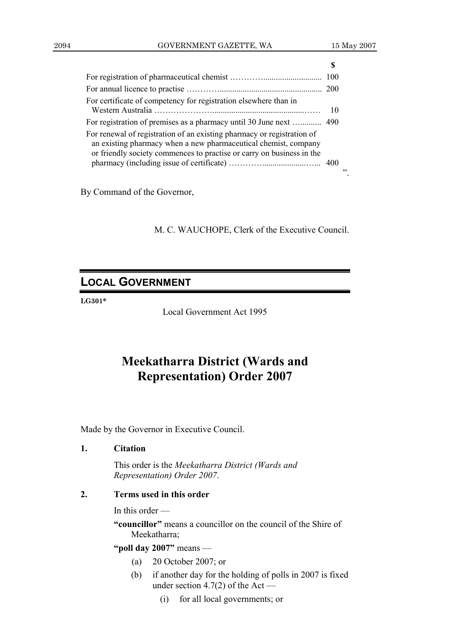| For certificate of competency for registration elsewhere than in                                                                                                                                                   | -10 |    |
|--------------------------------------------------------------------------------------------------------------------------------------------------------------------------------------------------------------------|-----|----|
| For registration of premises as a pharmacy until 30 June next                                                                                                                                                      | 490 |    |
| For renewal of registration of an existing pharmacy or registration of<br>an existing pharmacy when a new pharmaceutical chemist, company<br>or friendly society commences to practise or carry on business in the |     |    |
|                                                                                                                                                                                                                    |     | ,, |

By Command of the Governor,

M. C. WAUCHOPE, Clerk of the Executive Council.

# **LOCAL GOVERNMENT**

**LG301\*** 

Local Government Act 1995

# **Meekatharra District (Wards and Representation) Order 2007**

Made by the Governor in Executive Council.

**1. Citation** 

 This order is the *Meekatharra District (Wards and Representation) Order 2007*.

## **2. Terms used in this order**

In this order —

 **"councillor"** means a councillor on the council of the Shire of Meekatharra;

 **"poll day 2007"** means —

- (a) 20 October 2007; or
- (b) if another day for the holding of polls in 2007 is fixed under section 4.7(2) of the Act —
	- (i) for all local governments; or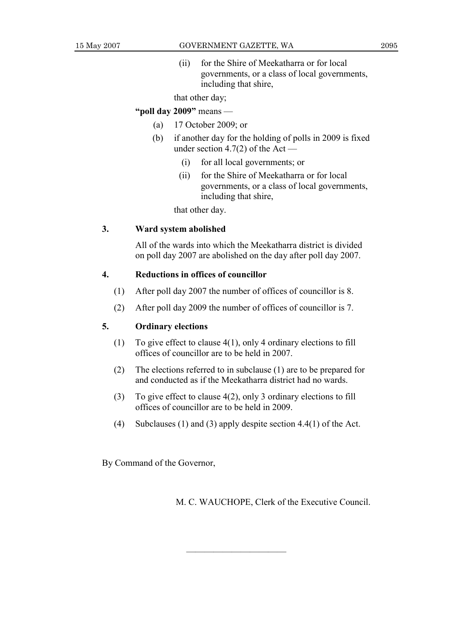- 
- (ii) for the Shire of Meekatharra or for local governments, or a class of local governments, including that shire,

that other day;

### **"poll day 2009"** means —

- (a) 17 October 2009; or
- (b) if another day for the holding of polls in 2009 is fixed under section 4.7(2) of the Act —
	- (i) for all local governments; or
	- (ii) for the Shire of Meekatharra or for local governments, or a class of local governments, including that shire,

that other day.

### **3. Ward system abolished**

 All of the wards into which the Meekatharra district is divided on poll day 2007 are abolished on the day after poll day 2007.

### **4. Reductions in offices of councillor**

- (1) After poll day 2007 the number of offices of councillor is 8.
- (2) After poll day 2009 the number of offices of councillor is 7.

### **5. Ordinary elections**

- (1) To give effect to clause 4(1), only 4 ordinary elections to fill offices of councillor are to be held in 2007.
- (2) The elections referred to in subclause (1) are to be prepared for and conducted as if the Meekatharra district had no wards.
- (3) To give effect to clause 4(2), only 3 ordinary elections to fill offices of councillor are to be held in 2009.
- (4) Subclauses (1) and (3) apply despite section 4.4(1) of the Act.

———————————

By Command of the Governor,

M. C. WAUCHOPE, Clerk of the Executive Council.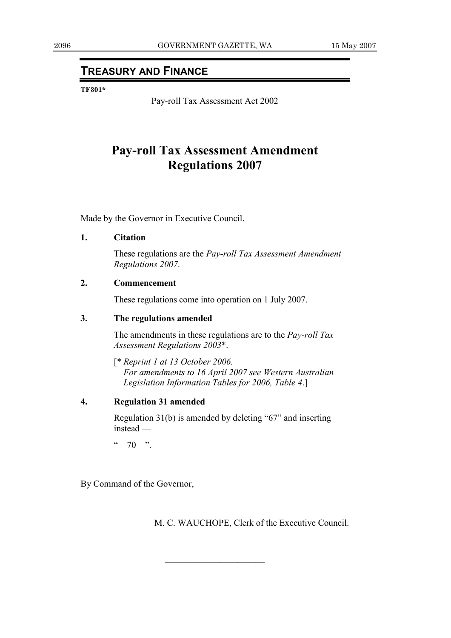# **TREASURY AND FINANCE**

**TF301\*** 

Pay-roll Tax Assessment Act 2002

# **Pay-roll Tax Assessment Amendment Regulations 2007**

Made by the Governor in Executive Council.

### **1. Citation**

 These regulations are the *Pay-roll Tax Assessment Amendment Regulations 2007*.

### **2. Commencement**

These regulations come into operation on 1 July 2007.

### **3. The regulations amended**

 The amendments in these regulations are to the *Pay-roll Tax Assessment Regulations 2003*\*.

 [\* *Reprint 1 at 13 October 2006. For amendments to 16 April 2007 see Western Australian Legislation Information Tables for 2006, Table 4*.]

### **4. Regulation 31 amended**

 Regulation 31(b) is amended by deleting "67" and inserting instead —

———————————

 $(1, 70)$  "

By Command of the Governor,

M. C. WAUCHOPE, Clerk of the Executive Council.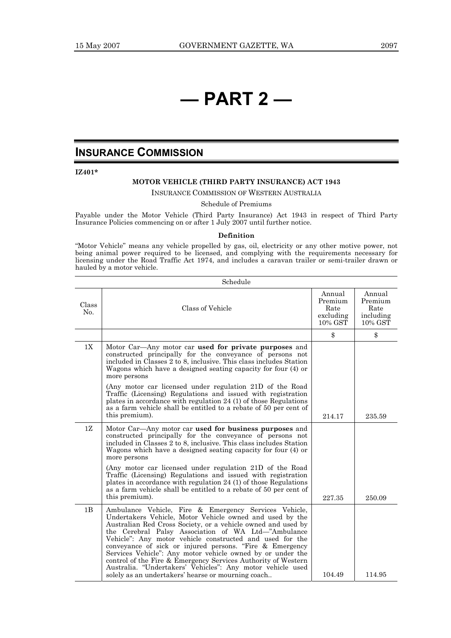# **— PART 2 —**

# **INSURANCE COMMISSION**

**IZ401\*** 

#### **MOTOR VEHICLE (THIRD PARTY INSURANCE) ACT 1943**

INSURANCE COMMISSION OF WESTERN AUSTRALIA

#### Schedule of Premiums

Payable under the Motor Vehicle (Third Party Insurance) Act 1943 in respect of Third Party Insurance Policies commencing on or after 1 July 2007 until further notice.

#### **Definition**

"Motor Vehicle" means any vehicle propelled by gas, oil, electricity or any other motive power, not being animal power required to be licensed, and complying with the requirements necessary for licensing under the Road Traffic Act 1974, and includes a caravan trailer or semi-trailer drawn or hauled by a motor vehicle.

| Schedule     |                                                                                                                                                                                                                                                                                                                                                                                                                                                                                                                                                                                                                     |                                                   |                                                      |  |
|--------------|---------------------------------------------------------------------------------------------------------------------------------------------------------------------------------------------------------------------------------------------------------------------------------------------------------------------------------------------------------------------------------------------------------------------------------------------------------------------------------------------------------------------------------------------------------------------------------------------------------------------|---------------------------------------------------|------------------------------------------------------|--|
| Class<br>No. | Class of Vehicle                                                                                                                                                                                                                                                                                                                                                                                                                                                                                                                                                                                                    | Annual<br>Premium<br>Rate<br>excluding<br>10% GST | Annual<br>Premium<br>Rate<br>including<br>$10\%$ GST |  |
|              |                                                                                                                                                                                                                                                                                                                                                                                                                                                                                                                                                                                                                     | \$                                                | \$                                                   |  |
| 1X           | Motor Car—Any motor car used for private purposes and<br>constructed principally for the conveyance of persons not<br>included in Classes 2 to 8, inclusive. This class includes Station<br>Wagons which have a designed seating capacity for four (4) or<br>more persons                                                                                                                                                                                                                                                                                                                                           |                                                   |                                                      |  |
|              | (Any motor car licensed under regulation 21D of the Road<br>Traffic (Licensing) Regulations and issued with registration<br>plates in accordance with regulation 24 (1) of those Regulations<br>as a farm vehicle shall be entitled to a rebate of 50 per cent of<br>this premium).                                                                                                                                                                                                                                                                                                                                 | 214.17                                            | 235.59                                               |  |
| 1Z           | Motor Car—Any motor car used for business purposes and<br>constructed principally for the conveyance of persons not<br>included in Classes 2 to 8, inclusive. This class includes Station<br>Wagons which have a designed seating capacity for four (4) or<br>more persons                                                                                                                                                                                                                                                                                                                                          |                                                   |                                                      |  |
|              | (Any motor car licensed under regulation 21D of the Road<br>Traffic (Licensing) Regulations and issued with registration<br>plates in accordance with regulation 24 (1) of those Regulations<br>as a farm vehicle shall be entitled to a rebate of 50 per cent of<br>this premium).                                                                                                                                                                                                                                                                                                                                 | 227.35                                            | 250.09                                               |  |
| 1B           | Ambulance Vehicle, Fire & Emergency Services Vehicle,<br>Undertakers Vehicle, Motor Vehicle owned and used by the<br>Australian Red Cross Society, or a vehicle owned and used by<br>the Cerebral Palsy Association of WA Ltd-"Ambulance<br>Vehicle": Any motor vehicle constructed and used for the<br>conveyance of sick or injured persons. "Fire & Emergency<br>Services Vehicle": Any motor vehicle owned by or under the<br>control of the Fire & Emergency Services Authority of Western<br>Australia. "Undertakers' Vehicles": Any motor vehicle used<br>solely as an undertakers' hearse or mourning coach | 104.49                                            | 114.95                                               |  |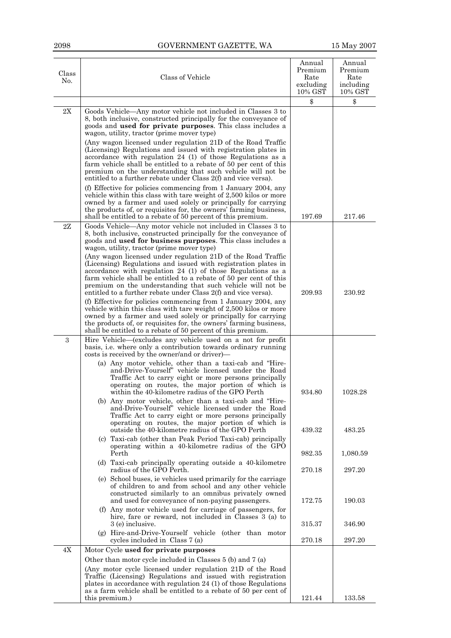## 2098 GOVERNMENT GAZETTE, WA 15 May 2007

| Class<br>No. | Class of Vehicle                                                                                                                                                                                                                                                                                                                                                                                     | Annual<br>Premium<br>Rate<br>excluding<br>10% GST | Annual<br>Premium<br>Rate<br>including<br>10% GST |
|--------------|------------------------------------------------------------------------------------------------------------------------------------------------------------------------------------------------------------------------------------------------------------------------------------------------------------------------------------------------------------------------------------------------------|---------------------------------------------------|---------------------------------------------------|
|              |                                                                                                                                                                                                                                                                                                                                                                                                      | \$                                                | \$                                                |
| 2X           | Goods Vehicle—Any motor vehicle not included in Classes 3 to<br>8, both inclusive, constructed principally for the conveyance of<br>goods and used for private purposes. This class includes a<br>wagon, utility, tractor (prime mover type)                                                                                                                                                         |                                                   |                                                   |
|              | (Any wagon licensed under regulation 21D of the Road Traffic<br>(Licensing) Regulations and issued with registration plates in<br>accordance with regulation $24$ (1) of those Regulations as a<br>farm vehicle shall be entitled to a rebate of 50 per cent of this<br>premium on the understanding that such vehicle will not be<br>entitled to a further rebate under Class 2(f) and vice versa). |                                                   |                                                   |
|              | (f) Effective for policies commencing from 1 January 2004, any<br>vehicle within this class with tare weight of 2,500 kilos or more<br>owned by a farmer and used solely or principally for carrying<br>the products of, or requisites for, the owners' farming business,<br>shall be entitled to a rebate of 50 percent of this premium.                                                            | 197.69                                            | 217.46                                            |
| 2Z           | Goods Vehicle—Any motor vehicle not included in Classes 3 to<br>8, both inclusive, constructed principally for the conveyance of<br>goods and <b>used for business purposes</b> . This class includes a<br>wagon, utility, tractor (prime mover type)                                                                                                                                                |                                                   |                                                   |
|              | (Any wagon licensed under regulation 21D of the Road Traffic<br>(Licensing) Regulations and issued with registration plates in<br>accordance with regulation $24$ (1) of those Regulations as a<br>farm vehicle shall be entitled to a rebate of 50 per cent of this<br>premium on the understanding that such vehicle will not be<br>entitled to a further rebate under Class 2(f) and vice versa). | 209.93                                            | 230.92                                            |
|              | (f) Effective for policies commencing from 1 January 2004, any<br>vehicle within this class with tare weight of 2,500 kilos or more<br>owned by a farmer and used solely or principally for carrying<br>the products of, or requisites for, the owners' farming business,<br>shall be entitled to a rebate of 50 percent of this premium.                                                            |                                                   |                                                   |
| 3            | Hire Vehicle—(excludes any vehicle used on a not for profit<br>basis, i.e. where only a contribution towards ordinary running<br>costs is received by the owner/and or driver)—                                                                                                                                                                                                                      |                                                   |                                                   |
|              | (a) Any motor vehicle, other than a taxi-cab and "Hire-<br>and-Drive-Yourself" vehicle licensed under the Road<br>Traffic Act to carry eight or more persons principally<br>operating on routes, the major portion of which is<br>within the 40-kilometre radius of the GPO Perth                                                                                                                    | 934.80                                            | 1028.28                                           |
|              | (b) Any motor vehicle, other than a taxi-cab and "Hire-<br>and-Drive-Yourself" vehicle licensed under the Road<br>Traffic Act to carry eight or more persons principally<br>operating on routes, the major portion of which is                                                                                                                                                                       |                                                   |                                                   |
|              | outside the 40-kilometre radius of the GPO Perth<br>(c) Taxi-cab (other than Peak Period Taxi-cab) principally<br>operating within a 40-kilometre radius of the GPO                                                                                                                                                                                                                                  | 439.32                                            | 483.25                                            |
|              | Perth                                                                                                                                                                                                                                                                                                                                                                                                | 982.35                                            | 1,080.59                                          |
|              | (d) Taxi-cab principally operating outside a 40-kilometre<br>radius of the GPO Perth.                                                                                                                                                                                                                                                                                                                | 270.18                                            | 297.20                                            |
|              | (e) School buses, ie vehicles used primarily for the carriage<br>of children to and from school and any other vehicle<br>constructed similarly to an omnibus privately owned<br>and used for conveyance of non-paying passengers.                                                                                                                                                                    | 172.75                                            | 190.03                                            |
|              | (f) Any motor vehicle used for carriage of passengers, for<br>hire, fare or reward, not included in Classes 3 (a) to<br>3 (e) inclusive.                                                                                                                                                                                                                                                             | 315.37                                            | 346.90                                            |
|              | (g) Hire-and-Drive-Yourself vehicle (other than motor<br>cycles included in Class 7 (a)                                                                                                                                                                                                                                                                                                              | 270.18                                            | 297.20                                            |
| 4X           | Motor Cycle used for private purposes                                                                                                                                                                                                                                                                                                                                                                |                                                   |                                                   |
|              | Other than motor cycle included in Classes 5 (b) and 7 (a)                                                                                                                                                                                                                                                                                                                                           |                                                   |                                                   |
|              | (Any motor cycle licensed under regulation 21D of the Road<br>Traffic (Licensing) Regulations and issued with registration<br>plates in accordance with regulation 24 (1) of those Regulations<br>as a farm vehicle shall be entitled to a rebate of 50 per cent of                                                                                                                                  |                                                   |                                                   |
|              | this premium.)                                                                                                                                                                                                                                                                                                                                                                                       | 121.44                                            | 133.58                                            |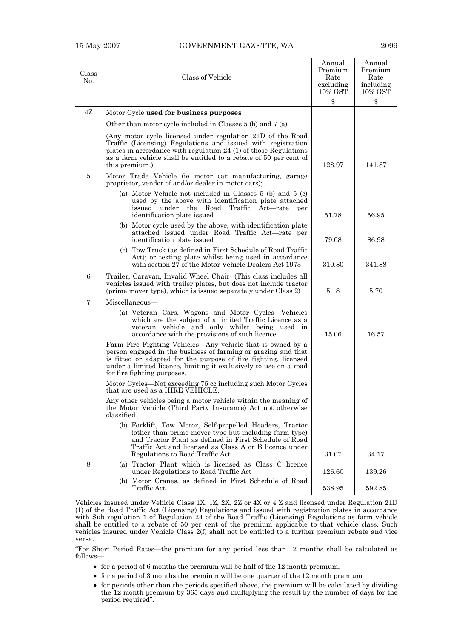| Class<br>No.   | Class of Vehicle                                                                                                                                                                                                                                                                                   | Annual<br>Premium<br>Rate<br>excluding<br>10% GST | Annual<br>Premium<br>Rate<br>including<br>10% GST |
|----------------|----------------------------------------------------------------------------------------------------------------------------------------------------------------------------------------------------------------------------------------------------------------------------------------------------|---------------------------------------------------|---------------------------------------------------|
|                |                                                                                                                                                                                                                                                                                                    | \$                                                | \$                                                |
| 4Z             | Motor Cycle used for business purposes                                                                                                                                                                                                                                                             |                                                   |                                                   |
|                | Other than motor cycle included in Classes 5 (b) and 7 (a)                                                                                                                                                                                                                                         |                                                   |                                                   |
|                | (Any motor cycle licensed under regulation 21D of the Road<br>Traffic (Licensing) Regulations and issued with registration<br>plates in accordance with regulation $24(1)$ of those Regulations<br>as a farm vehicle shall be entitled to a rebate of 50 per cent of<br>this premium.)             | 128.97                                            | 141.87                                            |
| 5              | Motor Trade Vehicle (ie motor car manufacturing, garage<br>proprietor, vendor of and/or dealer in motor cars);                                                                                                                                                                                     |                                                   |                                                   |
|                | (a) Motor Vehicle not included in Classes $5$ (b) and $5$ (c)<br>used by the above with identification plate attached<br>issued under the Road<br>Traffic Act—rate<br>per<br>identification plate issued                                                                                           | 51.78                                             | 56.95                                             |
|                | (b) Motor cycle used by the above, with identification plate<br>attached issued under Road Traffic Act-rate per<br>identification plate issued                                                                                                                                                     | 79.08                                             | 86.98                                             |
|                | (c) Tow Truck (as defined in First Schedule of Road Traffic<br>Act); or testing plate whilst being used in accordance<br>with section 27 of the Motor Vehicle Dealers Act 1973                                                                                                                     | 310.80                                            | 341.88                                            |
| 6              | Trailer, Caravan, Invalid Wheel Chair- (This class includes all<br>vehicles issued with trailer plates, but does not include tractor<br>(prime mover type), which is issued separately under Class 2)                                                                                              | 5.18                                              | 5.70                                              |
| $\overline{7}$ | Miscellaneous-                                                                                                                                                                                                                                                                                     |                                                   |                                                   |
|                | (a) Veteran Cars, Wagons and Motor Cycles-Vehicles<br>which are the subject of a limited Traffic Licence as a<br>veteran vehicle and only whilst being used in<br>accordance with the provisions of such licence.                                                                                  | 15.06                                             | 16.57                                             |
|                | Farm Fire Fighting Vehicles—Any vehicle that is owned by a<br>person engaged in the business of farming or grazing and that<br>is fitted or adapted for the purpose of fire fighting, licensed<br>under a limited licence, limiting it exclusively to use on a road<br>for fire fighting purposes. |                                                   |                                                   |
|                | Motor Cycles—Not exceeding 75 cc including such Motor Cycles<br>that are used as a HIRE VEHICLE.                                                                                                                                                                                                   |                                                   |                                                   |
|                | Any other vehicles being a motor vehicle within the meaning of<br>the Motor Vehicle (Third Party Insurance) Act not otherwise<br>classified                                                                                                                                                        |                                                   |                                                   |
|                | (b) Forklift, Tow Motor, Self-propelled Headers, Tractor<br>(other than prime mover type but including farm type)<br>and Tractor Plant as defined in First Schedule of Road<br>Traffic Act and licensed as Class A or B licence under                                                              |                                                   |                                                   |
|                | Regulations to Road Traffic Act.                                                                                                                                                                                                                                                                   | 31.07                                             | 34.17                                             |
| 8              | (a) Tractor Plant which is licensed as Class C licence<br>under Regulations to Road Traffic Act                                                                                                                                                                                                    | 126.60                                            | 139.26                                            |
|                | (b) Motor Cranes, as defined in First Schedule of Road<br>Traffic Act                                                                                                                                                                                                                              | 538.95                                            | 592.85                                            |

Vehicles insured under Vehicle Class 1X, 1Z, 2X, 2Z or 4X or 4 Z and licensed under Regulation 21D (1) of the Road Traffic Act (Licensing) Regulations and issued with registration plates in accordance with Sub regulation 1 of Regulation 24 of the Road Traffic (Licensing) Regulations as farm vehicle shall be entitled to a rebate of 50 per cent of the premium applicable to that vehicle class. Such vehicles insured under Vehicle Class 2(f) shall not be entitled to a further premium rebate and vice versa.

"For Short Period Rates—the premium for any period less than 12 months shall be calculated as follows—

- for a period of 6 months the premium will be half of the 12 month premium,
- for a period of 3 months the premium will be one quarter of the 12 month premium
- for periods other than the periods specified above, the premium will be calculated by dividing the 12 month premium by 365 days and multiplying the result by the number of days for the period required".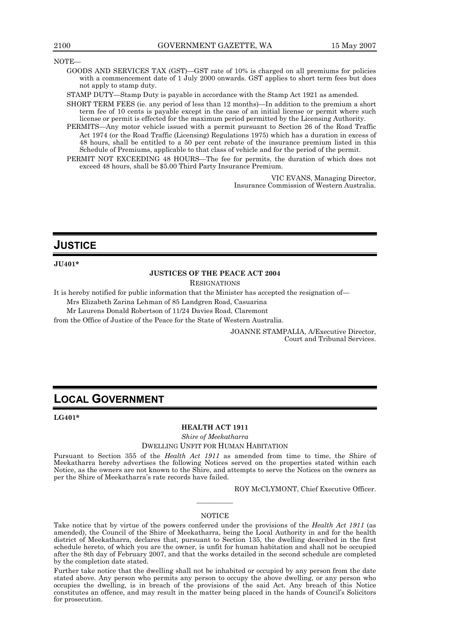#### NOTE—

- GOODS AND SERVICES TAX (GST)—GST rate of 10% is charged on all premiums for policies with a commencement date of 1 July 2000 onwards. GST applies to short term fees but does not apply to stamp duty.
- STAMP DUTY—Stamp Duty is payable in accordance with the Stamp Act 1921 as amended.
- SHORT TERM FEES (ie. any period of less than 12 months)—In addition to the premium a short term fee of 10 cents is payable except in the case of an initial license or permit where such license or permit is effected for the maximum period permitted by the Licensing Authority.

PERMITS—Any motor vehicle issued with a permit pursuant to Section 26 of the Road Traffic Act 1974 (or the Road Traffic (Licensing) Regulations 1975) which has a duration in excess of 48 hours, shall be entitled to a 50 per cent rebate of the insurance premium listed in this Schedule of Premiums, applicable to that class of vehicle and for the period of the permit.

PERMIT NOT EXCEEDING 48 HOURS—The fee for permits, the duration of which does not exceed 48 hours, shall be \$5.00 Third Party Insurance Premium.

> VIC EVANS, Managing Director, Insurance Commission of Western Australia.

# **JUSTICE**

#### **JU401\***

#### **JUSTICES OF THE PEACE ACT 2004**

RESIGNATIONS

It is hereby notified for public information that the Minister has accepted the resignation of—

Mrs Elizabeth Zarina Lehman of 85 Landgren Road, Casuarina

Mr Laurens Donald Robertson of 11/24 Davies Road, Claremont

from the Office of Justice of the Peace for the State of Western Australia.

JOANNE STAMPALIA, A/Executive Director, Court and Tribunal Services.

# **LOCAL GOVERNMENT**

**LG401\*** 

#### **HEALTH ACT 1911**

*Shire of Meekatharra* 

#### DWELLING UNFIT FOR HUMAN HABITATION

Pursuant to Section 355 of the *Health Act 1911* as amended from time to time, the Shire of Meekatharra hereby advertises the following Notices served on the properties stated within each Notice, as the owners are not known to the Shire, and attempts to serve the Notices on the owners as per the Shire of Meekatharra's rate records have failed.

ROY McCLYMONT, Chief Executive Officer.

# ———— **NOTICE**

Take notice that by virtue of the powers conferred under the provisions of the *Health Act 1911* (as amended), the Council of the Shire of Meekatharra, being the Local Authority in and for the health district of Meekatharra, declares that, pursuant to Section 135, the dwelling described in the first schedule hereto, of which you are the owner, is unfit for human habitation and shall not be occupied after the 8th day of February 2007, and that the works detailed in the second schedule are completed by the completion date stated.

Further take notice that the dwelling shall not be inhabited or occupied by any person from the date stated above. Any person who permits any person to occupy the above dwelling, or any person who occupies the dwelling, is in breach of the provisions of the said Act. Any breach of this Notice constitutes an offence, and may result in the matter being placed in the hands of Council's Solicitors for prosecution.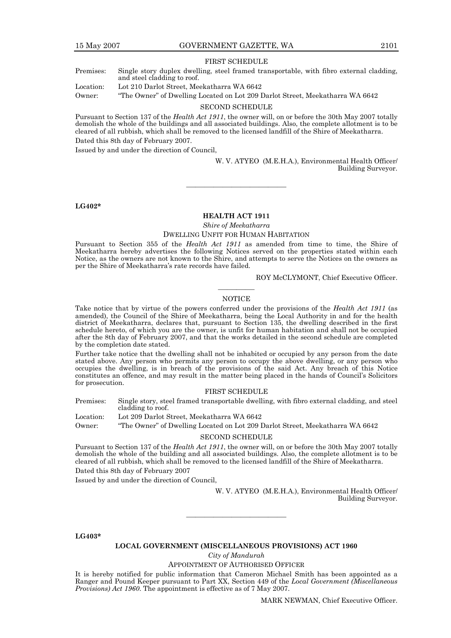#### FIRST SCHEDULE

Premises: Single story duplex dwelling, steel framed transportable, with fibro external cladding, and steel cladding to roof. Location: Lot 210 Darlot Street, Meekatharra WA 6642

Owner: "The Owner" of Dwelling Located on Lot 209 Darlot Street, Meekatharra WA 6642

#### SECOND SCHEDULE

Pursuant to Section 137 of the *Health Act 1911*, the owner will, on or before the 30th May 2007 totally demolish the whole of the buildings and all associated buildings. Also, the complete allotment is to be cleared of all rubbish, which shall be removed to the licensed landfill of the Shire of Meekatharra.

Dated this 8th day of February 2007.

Issued by and under the direction of Council,

W. V. ATYEO (M.E.H.A.), Environmental Health Officer/ Building Surveyor.

**LG402\*** 

#### **HEALTH ACT 1911**

———————————

*Shire of Meekatharra* 

#### DWELLING UNFIT FOR HUMAN HABITATION

Pursuant to Section 355 of the *Health Act 1911* as amended from time to time, the Shire of Meekatharra hereby advertises the following Notices served on the properties stated within each Notice, as the owners are not known to the Shire, and attempts to serve the Notices on the owners as per the Shire of Meekatharra's rate records have failed.

ROY McCLYMONT, Chief Executive Officer.

### ———— NOTICE

Take notice that by virtue of the powers conferred under the provisions of the *Health Act 1911* (as amended), the Council of the Shire of Meekatharra, being the Local Authority in and for the health district of Meekatharra, declares that, pursuant to Section 135, the dwelling described in the first schedule hereto, of which you are the owner, is unfit for human habitation and shall not be occupied after the 8th day of February 2007, and that the works detailed in the second schedule are completed by the completion date stated.

Further take notice that the dwelling shall not be inhabited or occupied by any person from the date stated above. Any person who permits any person to occupy the above dwelling, or any person who occupies the dwelling, is in breach of the provisions of the said Act. Any breach of this Notice constitutes an offence, and may result in the matter being placed in the hands of Council's Solicitors for prosecution.

#### FIRST SCHEDULE

Premises: Single story, steel framed transportable dwelling, with fibro external cladding, and steel cladding to roof.

Location: Lot 209 Darlot Street, Meekatharra WA 6642

Owner: "The Owner" of Dwelling Located on Lot 209 Darlot Street, Meekatharra WA 6642

#### SECOND SCHEDULE

Pursuant to Section 137 of the *Health Act 1911*, the owner will, on or before the 30th May 2007 totally demolish the whole of the building and all associated buildings. Also, the complete allotment is to be cleared of all rubbish, which shall be removed to the licensed landfill of the Shire of Meekatharra.

Dated this 8th day of February 2007

Issued by and under the direction of Council,

W. V. ATYEO (M.E.H.A.), Environmental Health Officer/ Building Surveyor.

**LG403\*** 

#### **LOCAL GOVERNMENT (MISCELLANEOUS PROVISIONS) ACT 1960**

———————————

*City of Mandurah* 

#### APPOINTMENT OF AUTHORISED OFFICER

It is hereby notified for public information that Cameron Michael Smith has been appointed as a Ranger and Pound Keeper pursuant to Part XX, Section 449 of the *Local Government (Miscellaneous Provisions) Act 1960*. The appointment is effective as of 7 May 2007.

MARK NEWMAN, Chief Executive Officer.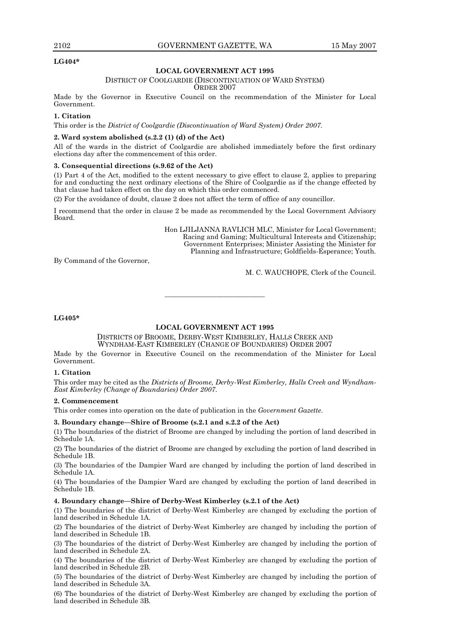#### **LG404\***

#### **LOCAL GOVERNMENT ACT 1995**

#### DISTRICT OF COOLGARDIE (DISCONTINUATION OF WARD SYSTEM) ORDER 2007

Made by the Governor in Executive Council on the recommendation of the Minister for Local Government.

#### **1. Citation**

This order is the *District of Coolgardie (Discontinuation of Ward System) Order 2007.*

#### **2. Ward system abolished (s.2.2 (1) (d) of the Act)**

All of the wards in the district of Coolgardie are abolished immediately before the first ordinary elections day after the commencement of this order.

#### **3. Consequential directions (s.9.62 of the Act)**

(1) Part 4 of the Act, modified to the extent necessary to give effect to clause 2, applies to preparing for and conducting the next ordinary elections of the Shire of Coolgardie as if the change effected by that clause had taken effect on the day on which this order commenced.

(2) For the avoidance of doubt, clause 2 does not affect the term of office of any councillor.

I recommend that the order in clause 2 be made as recommended by the Local Government Advisory Board.

> Hon LJILJANNA RAVLICH MLC, Minister for Local Government; Racing and Gaming; Multicultural Interests and Citizenship; Government Enterprises; Minister Assisting the Minister for Planning and Infrastructure; Goldfields-Esperance; Youth.

By Command of the Governor,

M. C. WAUCHOPE, Clerk of the Council.

**LG405\*** 

#### **LOCAL GOVERNMENT ACT 1995**

———————————

DISTRICTS OF BROOME, DERBY-WEST KIMBERLEY, HALLS CREEK AND WYNDHAM-EAST KIMBERLEY (CHANGE OF BOUNDARIES) ORDER 2007

Made by the Governor in Executive Council on the recommendation of the Minister for Local Government.

#### **1. Citation**

This order may be cited as the *Districts of Broome, Derby-West Kimberley, Halls Creek and Wyndham-East Kimberley (Change of Boundaries) Order 2007*.

#### **2. Commencement**

This order comes into operation on the date of publication in the *Government Gazette*.

#### **3. Boundary change—Shire of Broome (s.2.1 and s.2.2 of the Act)**

(1) The boundaries of the district of Broome are changed by including the portion of land described in Schedule 1A.

(2) The boundaries of the district of Broome are changed by excluding the portion of land described in Schedule 1B.

(3) The boundaries of the Dampier Ward are changed by including the portion of land described in Schedule 1A.

(4) The boundaries of the Dampier Ward are changed by excluding the portion of land described in Schedule 1B.

#### **4. Boundary change—Shire of Derby-West Kimberley (s.2.1 of the Act)**

(1) The boundaries of the district of Derby-West Kimberley are changed by excluding the portion of land described in Schedule 1A.

(2) The boundaries of the district of Derby-West Kimberley are changed by including the portion of land described in Schedule 1B.

(3) The boundaries of the district of Derby-West Kimberley are changed by including the portion of land described in Schedule 2A.

(4) The boundaries of the district of Derby-West Kimberley are changed by excluding the portion of land described in Schedule 2B.

(5) The boundaries of the district of Derby-West Kimberley are changed by including the portion of land described in Schedule 3A.

(6) The boundaries of the district of Derby-West Kimberley are changed by excluding the portion of land described in Schedule 3B.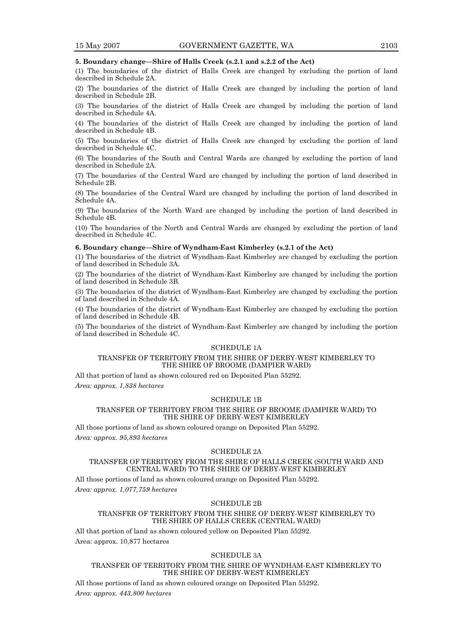#### **5. Boundary change—Shire of Halls Creek (s.2.1 and s.2.2 of the Act)**

(1) The boundaries of the district of Halls Creek are changed by excluding the portion of land described in Schedule 2A.

(2) The boundaries of the district of Halls Creek are changed by including the portion of land described in Schedule 2B.

(3) The boundaries of the district of Halls Creek are changed by including the portion of land described in Schedule 4A.

(4) The boundaries of the district of Halls Creek are changed by including the portion of land described in Schedule 4B.

(5) The boundaries of the district of Halls Creek are changed by excluding the portion of land described in Schedule 4C.

(6) The boundaries of the South and Central Wards are changed by excluding the portion of land described in Schedule 2A.

(7) The boundaries of the Central Ward are changed by including the portion of land described in Schedule 2B.

(8) The boundaries of the Central Ward are changed by including the portion of land described in Schedule 4A.

(9) The boundaries of the North Ward are changed by including the portion of land described in Schedule 4B.

(10) The boundaries of the North and Central Wards are changed by excluding the portion of land described in Schedule 4C.

#### **6. Boundary change—Shire of Wyndham-East Kimberley (s.2.1 of the Act)**

(1) The boundaries of the district of Wyndham-East Kimberley are changed by excluding the portion of land described in Schedule 3A.

(2) The boundaries of the district of Wyndham-East Kimberley are changed by including the portion of land described in Schedule 3B.

(3) The boundaries of the district of Wyndham-East Kimberley are changed by excluding the portion of land described in Schedule 4A.

(4) The boundaries of the district of Wyndham-East Kimberley are changed by excluding the portion of land described in Schedule 4B.

(5) The boundaries of the district of Wyndham-East Kimberley are changed by including the portion of land described in Schedule 4C.

#### SCHEDULE 1A

#### TRANSFER OF TERRITORY FROM THE SHIRE OF DERBY-WEST KIMBERLEY TO THE SHIRE OF BROOME (DAMPIER WARD)

All that portion of land as shown coloured red on Deposited Plan 55292. *Area: approx. 1,838 hectares* 

#### SCHEDULE 1B

#### TRANSFER OF TERRITORY FROM THE SHIRE OF BROOME (DAMPIER WARD) TO THE SHIRE OF DERBY-WEST KIMBERLEY

All those portions of land as shown coloured orange on Deposited Plan 55292. *Area: approx. 95,893 hectares*

#### SCHEDULE 2A

#### TRANSFER OF TERRITORY FROM THE SHIRE OF HALLS CREEK (SOUTH WARD AND CENTRAL WARD) TO THE SHIRE OF DERBY-WEST KIMBERLEY

All those portions of land as shown coloured orange on Deposited Plan 55292.

*Area: approx. 1,077,759 hectares* 

#### SCHEDULE 2B

#### TRANSFER OF TERRITORY FROM THE SHIRE OF DERBY-WEST KIMBERLEY TO THE SHIRE OF HALLS CREEK (CENTRAL WARD)

All that portion of land as shown coloured yellow on Deposited Plan 55292.

Area: approx. 10,877 hectares

#### SCHEDULE 3A

#### TRANSFER OF TERRITORY FROM THE SHIRE OF WYNDHAM-EAST KIMBERLEY TO THE SHIRE OF DERBY-WEST KIMBERLEY

All those portions of land as shown coloured orange on Deposited Plan 55292. *Area: approx. 443,800 hectares*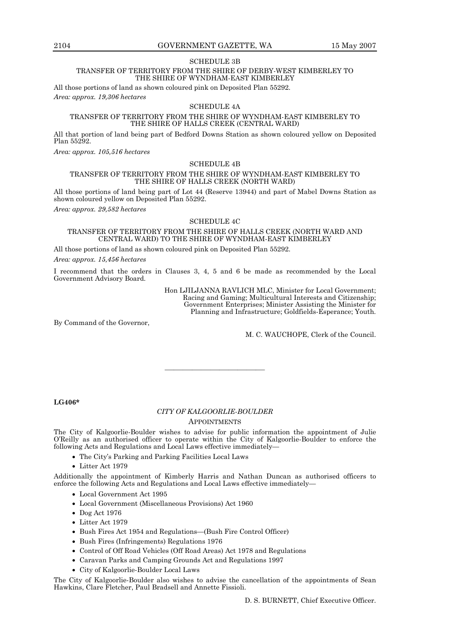#### SCHEDULE 3B

#### TRANSFER OF TERRITORY FROM THE SHIRE OF DERBY-WEST KIMBERLEY TO THE SHIRE OF WYNDHAM-EAST KIMBERLEY

All those portions of land as shown coloured pink on Deposited Plan 55292. *Area: approx. 19,306 hectares* 

#### SCHEDULE 4A

#### TRANSFER OF TERRITORY FROM THE SHIRE OF WYNDHAM-EAST KIMBERLEY TO THE SHIRE OF HALLS CREEK (CENTRAL WARD)

All that portion of land being part of Bedford Downs Station as shown coloured yellow on Deposited Plan 55292.

*Area: approx. 105,516 hectares* 

#### SCHEDULE 4B

#### TRANSFER OF TERRITORY FROM THE SHIRE OF WYNDHAM-EAST KIMBERLEY TO THE SHIRE OF HALLS CREEK (NORTH WARD)

All those portions of land being part of Lot 44 (Reserve 13944) and part of Mabel Downs Station as shown coloured yellow on Deposited Plan 55292.

*Area: approx. 29,582 hectares* 

#### SCHEDULE 4C

#### TRANSFER OF TERRITORY FROM THE SHIRE OF HALLS CREEK (NORTH WARD AND CENTRAL WARD) TO THE SHIRE OF WYNDHAM-EAST KIMBERLEY

All those portions of land as shown coloured pink on Deposited Plan 55292.

*Area: approx. 15,456 hectares* 

I recommend that the orders in Clauses 3, 4, 5 and 6 be made as recommended by the Local Government Advisory Board.

> Hon LJILJANNA RAVLICH MLC, Minister for Local Government; Racing and Gaming; Multicultural Interests and Citizenship; Government Enterprises: Minister Assisting the Minister for Planning and Infrastructure; Goldfields-Esperance; Youth.

By Command of the Governor,

M. C. WAUCHOPE, Clerk of the Council.

#### **LG406\***

# *CITY OF KALGOORLIE-BOULDER*

———————————

#### APPOINTMENTS

The City of Kalgoorlie-Boulder wishes to advise for public information the appointment of Julie O'Reilly as an authorised officer to operate within the City of Kalgoorlie-Boulder to enforce the following Acts and Regulations and Local Laws effective immediately—

- The City's Parking and Parking Facilities Local Laws
- Litter Act 1979

Additionally the appointment of Kimberly Harris and Nathan Duncan as authorised officers to enforce the following Acts and Regulations and Local Laws effective immediately—

- Local Government Act 1995
- Local Government (Miscellaneous Provisions) Act 1960
- Dog Act 1976
- Litter Act 1979
- Bush Fires Act 1954 and Regulations—(Bush Fire Control Officer)
- Bush Fires (Infringements) Regulations 1976
- Control of Off Road Vehicles (Off Road Areas) Act 1978 and Regulations
- Caravan Parks and Camping Grounds Act and Regulations 1997
- City of Kalgoorlie-Boulder Local Laws

The City of Kalgoorlie-Boulder also wishes to advise the cancellation of the appointments of Sean Hawkins, Clare Fletcher, Paul Bradsell and Annette Fissioli.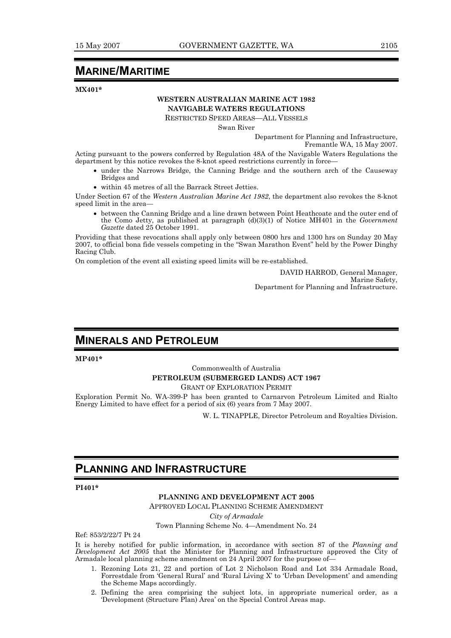# **MARINE/MARITIME**

**MX401\*** 

### **WESTERN AUSTRALIAN MARINE ACT 1982 NAVIGABLE WATERS REGULATIONS**

RESTRICTED SPEED AREAS—ALL VESSELS

Swan River

Department for Planning and Infrastructure, Fremantle WA, 15 May 2007.

Acting pursuant to the powers conferred by Regulation 48A of the Navigable Waters Regulations the department by this notice revokes the 8-knot speed restrictions currently in force—

- under the Narrows Bridge, the Canning Bridge and the southern arch of the Causeway Bridges and
- within 45 metres of all the Barrack Street Jetties.

Under Section 67 of the *Western Australian Marine Act 1982*, the department also revokes the 8-knot speed limit in the area-

 • between the Canning Bridge and a line drawn between Point Heathcoate and the outer end of the Como Jetty, as published at paragraph (d)(3)(1) of Notice MH401 in the *Government Gazette* dated 25 October 1991.

Providing that these revocations shall apply only between 0800 hrs and 1300 hrs on Sunday 20 May 2007, to official bona fide vessels competing in the "Swan Marathon Event" held by the Power Dinghy Racing Club.

On completion of the event all existing speed limits will be re-established.

DAVID HARROD, General Manager, Marine Safety, Department for Planning and Infrastructure.

# **MINERALS AND PETROLEUM**

**MP401\*** 

#### Commonwealth of Australia **PETROLEUM (SUBMERGED LANDS) ACT 1967**  GRANT OF EXPLORATION PERMIT

Exploration Permit No. WA-399-P has been granted to Carnarvon Petroleum Limited and Rialto Energy Limited to have effect for a period of six (6) years from 7 May 2007.

W. L. TINAPPLE, Director Petroleum and Royalties Division.

# **PLANNING AND INFRASTRUCTURE**

**PI401\*** 

#### **PLANNING AND DEVELOPMENT ACT 2005**

APPROVED LOCAL PLANNING SCHEME AMENDMENT

*City of Armadale* 

Town Planning Scheme No. 4—Amendment No. 24

Ref: 853/2/22/7 Pt 24

It is hereby notified for public information, in accordance with section 87 of the *Planning and Development Act 2005* that the Minister for Planning and Infrastructure approved the City of Armadale local planning scheme amendment on 24 April 2007 for the purpose of—

- 1. Rezoning Lots 21, 22 and portion of Lot 2 Nicholson Road and Lot 334 Armadale Road, Forrestdale from 'General Rural' and 'Rural Living X' to 'Urban Development' and amending the Scheme Maps accordingly.
- 2. Defining the area comprising the subject lots, in appropriate numerical order, as a 'Development (Structure Plan) Area' on the Special Control Areas map.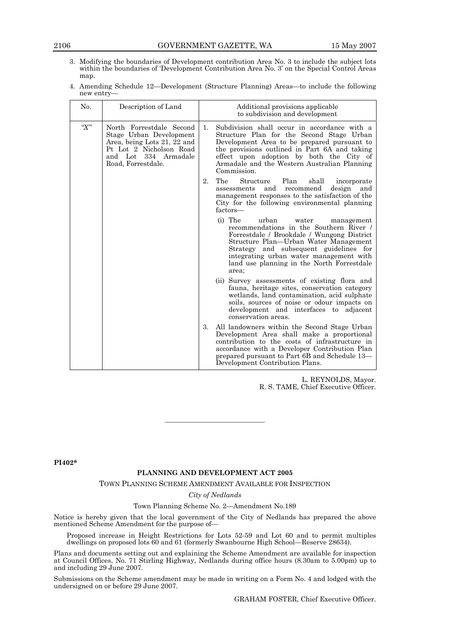#### 2106 GOVERNMENT GAZETTE, WA 15 May 2007

- 3. Modifying the boundaries of Development contribution Area No. 3 to include the subject lots within the boundaries of 'Development Contribution Area No. 3' on the Special Control Areas map.
- 4. Amending Schedule 12—Development (Structure Planning) Areas—to include the following new entry—

| N <sub>0</sub> . | Description of Land                                                                                                                                         | Additional provisions applicable<br>to subdivision and development |                                                                                                                                                                                                                                                                                                                       |  |
|------------------|-------------------------------------------------------------------------------------------------------------------------------------------------------------|--------------------------------------------------------------------|-----------------------------------------------------------------------------------------------------------------------------------------------------------------------------------------------------------------------------------------------------------------------------------------------------------------------|--|
| $\lq X$ "        | North Forrestdale Second<br>Stage Urban Development<br>Area, being Lots 21, 22 and<br>Pt Lot 2 Nicholson Road<br>and Lot 334 Armadale<br>Road, Forrestdale. | 1.                                                                 | Subdivision shall occur in accordance with a<br>Structure Plan for the Second Stage Urban<br>Development Area to be prepared pursuant to<br>the provisions outlined in Part 6A and taking<br>effect upon adoption by both the City of<br>Armadale and the Western Australian Planning<br>Commission.                  |  |
|                  |                                                                                                                                                             | 2.                                                                 | The<br>Structure<br>Plan<br>shall<br>incorporate<br>and<br>recommend<br>design<br>assessments<br>and<br>management responses to the satisfaction of the<br>City for the following environmental planning<br>factors—                                                                                                  |  |
|                  |                                                                                                                                                             |                                                                    | (i) The<br>urban<br>water<br>management<br>recommendations in the Southern River /<br>Forrestdale / Brookdale / Wungong District<br>Structure Plan—Urban Water Management<br>Strategy and subsequent guidelines for<br>integrating urban water management with<br>land use planning in the North Forrestdale<br>area; |  |
|                  |                                                                                                                                                             |                                                                    | (ii) Survey assessments of existing flora and<br>fauna, heritage sites, conservation category<br>wetlands, land contamination, acid sulphate<br>soils, sources of noise or odour impacts on<br>development and interfaces to adjacent<br>conservation areas.                                                          |  |
|                  |                                                                                                                                                             | 3.                                                                 | All landowners within the Second Stage Urban<br>Development Area shall make a proportional<br>contribution to the costs of infrastructure in<br>accordance with a Developer Contribution Plan<br>prepared pursuant to Part 6B and Schedule 13-<br>Development Contribution Plans.                                     |  |

L. REYNOLDS, Mayor. R. S. TAME, Chief Executive Officer.

**PI402\*** 

#### **PLANNING AND DEVELOPMENT ACT 2005**

———————————

TOWN PLANNING SCHEME AMENDMENT AVAILABLE FOR INSPECTION

*City of Nedlands* 

#### Town Planning Scheme No. 2—Amendment No.189

Notice is hereby given that the local government of the City of Nedlands has prepared the above mentioned Scheme Amendment for the purpose of—

Proposed increase in Height Restrictions for Lots 52-59 and Lot 60 and to permit multiples dwellings on proposed lots 60 and 61 (formerly Swanbourne High School—Reserve 28634).

Plans and documents setting out and explaining the Scheme Amendment are available for inspection at Council Offices, No. 71 Stirling Highway, Nedlands during office hours (8.30am to 5.00pm) up to and including 29 June 2007.

Submissions on the Scheme amendment may be made in writing on a Form No. 4 and lodged with the undersigned on or before 29 June 2007.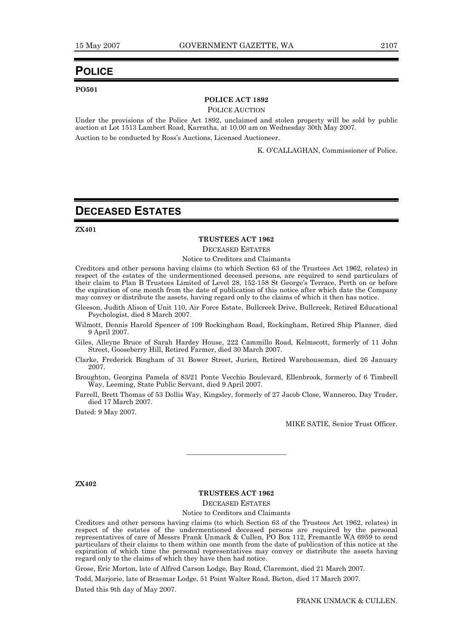## **POLICE**

#### **PO501**

#### **POLICE ACT 1892**

POLICE AUCTION

Under the provisions of the Police Act 1892, unclaimed and stolen property will be sold by public auction at Lot 1513 Lambert Road, Karratha, at 10.00 am on Wednesday 30th May 2007. Auction to be conducted by Ross's Auctions, Licensed Auctioneer.

K. O'CALLAGHAN, Commissioner of Police.

# **DECEASED ESTATES**

**ZX401** 

### **TRUSTEES ACT 1962**

#### DECEASED ESTATES

Notice to Creditors and Claimants

Creditors and other persons having claims (to which Section 63 of the Trustees Act 1962, relates) in respect of the estates of the undermentioned deceased persons, are required to send particulars of their claim to Plan B Trustees Limited of Level 28, 152-158 St George's Terrace, Perth on or before the expiration of one month from the date of publication of this notice after which date the Company may convey or distribute the assets, having regard only to the claims of which it then has notice.

- Gleeson, Judith Alison of Unit 110, Air Force Estate, Bullcreek Drive, Bullcreek, Retired Educational Psychologist, died 8 March 2007.
- Wilmott, Dennis Harold Spencer of 109 Rockingham Road, Rockingham, Retired Ship Planner, died 9 April 2007.

Giles, Alleyne Bruce of Sarah Hardey House, 222 Cammillo Road, Kelmscott, formerly of 11 John Street, Gooseberry Hill, Retired Farmer, died 30 March 2007.

- Clarke, Frederick Bingham of 31 Bower Street, Jurien, Retired Warehouseman, died 26 January 2007.
- Broughton, Georgina Pamela of 83/21 Ponte Vecchio Boulevard, Ellenbrook, formerly of 6 Timbrell Way, Leeming, State Public Servant, died 9 April 2007.
- Farrell, Brett Thomas of 53 Dollis Way, Kingsley, formerly of 27 Jacob Close, Wanneroo, Day Trader, died 17 March 2007.

Dated: 9 May 2007.

MIKE SATIE, Senior Trust Officer.

#### **ZX402**

#### **TRUSTEES ACT 1962**

———————————

DECEASED ESTATES

Notice to Creditors and Claimants

Creditors and other persons having claims (to which Section 63 of the Trustees Act 1962, relates) in respect of the estates of the undermentioned deceased persons are required by the personal representatives of care of Messrs Frank Unmack & Cullen, PO Box 112, Fremantle WA 6959 to send particulars of their claims to them within one month from the date of publication of this notice at the expiration of which time the personal representatives may convey or distribute the assets having regard only to the claims of which they have then had notice.

Grose, Eric Morton, late of Alfred Carson Lodge, Bay Road, Claremont, died 21 March 2007.

Todd, Marjorie, late of Braemar Lodge, 51 Point Walter Road, Bicton, died 17 March 2007.

Dated this 9th day of May 2007.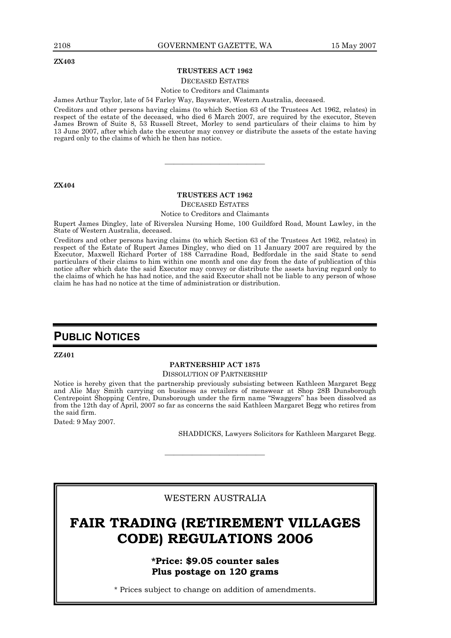**ZX403** 

#### **TRUSTEES ACT 1962**

#### DECEASED ESTATES

Notice to Creditors and Claimants

James Arthur Taylor, late of 54 Farley Way, Bayswater, Western Australia, deceased.

Creditors and other persons having claims (to which Section 63 of the Trustees Act 1962, relates) in respect of the estate of the deceased, who died 6 March 2007, are required by the executor, Steven James Brown of Suite 8, 53 Russell Street, Morley to send particulars of their claims to him by 13 June 2007, after which date the executor may convey or distribute the assets of the estate having regard only to the claims of which he then has notice.

#### **ZX404**

#### **TRUSTEES ACT 1962**

———————————

DECEASED ESTATES

Notice to Creditors and Claimants

Rupert James Dingley, late of Riverslea Nursing Home, 100 Guildford Road, Mount Lawley, in the State of Western Australia, deceased.

Creditors and other persons having claims (to which Section 63 of the Trustees Act 1962, relates) in respect of the Estate of Rupert James Dingley, who died on 11 January 2007 are required by the Executor, Maxwell Richard Porter of 188 Carradine Road, Bedfordale in the said State to send particulars of their claims to him within one month and one day from the date of publication of this notice after which date the said Executor may convey or distribute the assets having regard only to the claims of which he has had notice, and the said Executor shall not be liable to any person of whose claim he has had no notice at the time of administration or distribution.

# **PUBLIC NOTICES**

**ZZ401** 

#### **PARTNERSHIP ACT 1875**

DISSOLUTION OF PARTNERSHIP

Notice is hereby given that the partnership previously subsisting between Kathleen Margaret Begg and Alie May Smith carrying on business as retailers of menswear at Shop 28B Dunsborough Centrepoint Shopping Centre, Dunsborough under the firm name "Swaggers" has been dissolved as from the 12th day of April, 2007 so far as concerns the said Kathleen Margaret Begg who retires from the said firm.

Dated: 9 May 2007.

SHADDICKS, Lawyers Solicitors for Kathleen Margaret Begg.

WESTERN AUSTRALIA

———————————

# **FAIR TRADING (RETIREMENT VILLAGES CODE) REGULATIONS 2006**

**\*Price: \$9.05 counter sales Plus postage on 120 grams** 

\* Prices subject to change on addition of amendments.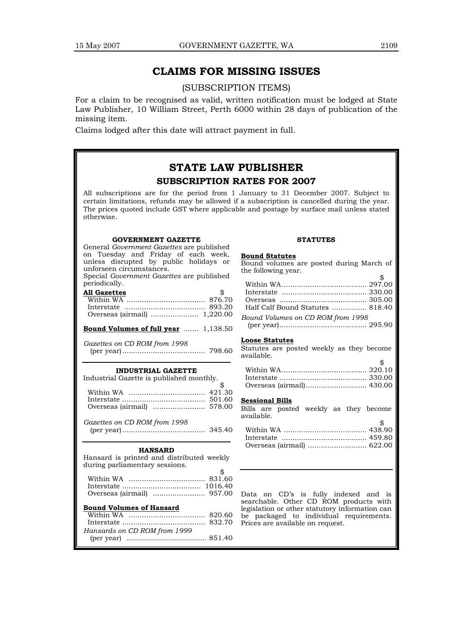# **CLAIMS FOR MISSING ISSUES**

(SUBSCRIPTION ITEMS)

For a claim to be recognised as valid, written notification must be lodged at State Law Publisher, 10 William Street, Perth 6000 within 28 days of publication of the missing item.

Claims lodged after this date will attract payment in full.

# **STATE LAW PUBLISHER**

### **SUBSCRIPTION RATES FOR 2007**

All subscriptions are for the period from 1 January to 31 December 2007. Subject to certain limitations, refunds may be allowed if a subscription is cancelled during the year. The prices quoted include GST where applicable and postage by surface mail unless stated otherwise.

#### **GOVERNMENT GAZETTE**

| General Government Gazettes are published<br>on Tuesday and Friday of each week,<br>unless disrupted by public holidays or<br>unforseen circumstances.<br>Special Government Gazettes are published<br>periodically.<br>\$<br><b>All Gazettes</b> | <b>Bound Statutes</b><br>Bound volumes<br>the following yea<br>Within WA<br>Interstate |
|---------------------------------------------------------------------------------------------------------------------------------------------------------------------------------------------------------------------------------------------------|----------------------------------------------------------------------------------------|
| Bound Volumes of full year  1,138.50                                                                                                                                                                                                              | Overseas<br><b>Half Calf Bound</b><br>Bound Volumes o<br>$(\text{per year})$           |
| Gazettes on CD ROM from 1998                                                                                                                                                                                                                      | <b>Loose Statutes</b><br>Statutes are pos<br>available.                                |
| <b>INDUSTRIAL GAZETTE</b><br>Industrial Gazette is published monthly.<br>\$<br>421.30                                                                                                                                                             | Within WA<br>Interstate<br>Overseas (airma                                             |
|                                                                                                                                                                                                                                                   | <b>Sessional Bills</b><br>Bills are posted<br>available.                               |
| Gazettes on CD ROM from 1998                                                                                                                                                                                                                      | Within WA<br>Interstate<br>Overseas (airma                                             |
| <b>HANSARD</b><br>Hansard is printed and distributed weekly<br>during parliamentary sessions.                                                                                                                                                     |                                                                                        |
| \$                                                                                                                                                                                                                                                |                                                                                        |
|                                                                                                                                                                                                                                                   | Data on CD's<br>searchable. Oth                                                        |
| <b>Bound Volumes of Hansard</b>                                                                                                                                                                                                                   | legislation or oth                                                                     |
|                                                                                                                                                                                                                                                   | be packaged to<br>Prices are availal                                                   |
| Hansards on CD ROM from 1999                                                                                                                                                                                                                      |                                                                                        |

(per year) *........................................* 851.40

### **STATUTES**

#### Bound volumes are posted during March of the following year.  $\mathcal{S}$  Within WA....................................... 297.00 Interstate ....................................... 330.00 Overseas ........................................ 305.00 Half Calf Bound Statutes ................ 818.40 *Bound Volumes on CD ROM from 1998* (per year)........................................ 295.90 **Loose Statutes**

Statutes are posted weekly as they become available.

#### **Sessional Bills**

Bills are posted weekly as they become available.

Data on CD's is fully indexed and is searchable. Other CD ROM products with legislation or other statutory information can be packaged to individual requirements. Prices are available on request.